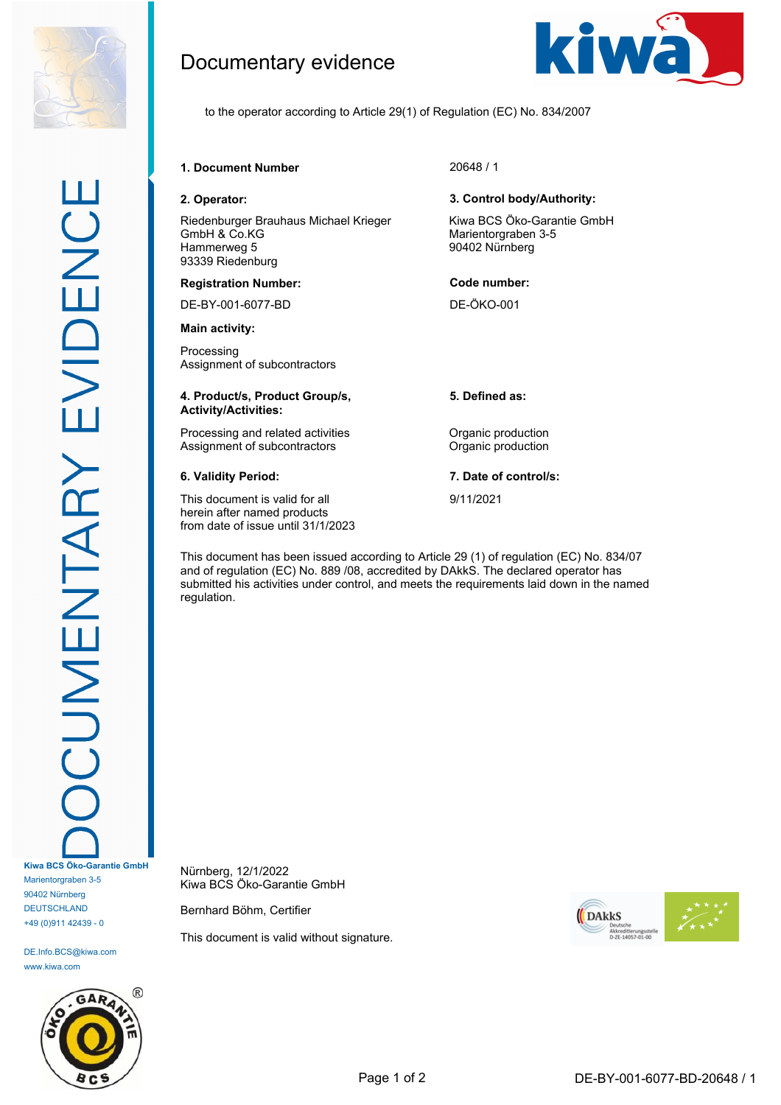

DE.Info.BCS@kiwa.com www.kiwa.com



# Documentary evidence



to the operator according to Article 29(1) of Regulation (EC) No. 834/2007

### **1. Document Number** 20648 / 1

Riedenburger Brauhaus Michael Krieger GmbH & Co.KG Hammerweg 5 93339 Riedenburg

### **Registration Number: Code number:**

DE-BY-001-6077-BD DE-ÖKO-001

**Main activity:**

Processing Assignment of subcontractors

### **4. Product/s, Product Group/s, Activity/Activities:**

Processing and related activities **Constanting Construction** Assignment of subcontractors **Contractors** Organic production

This document is valid for all herein after named products from date of issue until 31/1/2023

### **2. Operator: 3. Control body/Authority:**

Kiwa BCS Öko-Garantie GmbH Marientorgraben 3-5 90402 Nürnberg

**5. Defined as:**

**6. Validity Period: 7. Date of control/s:**

9/11/2021

This document has been issued according to Article 29 (1) of regulation (EC) No. 834/07 and of regulation (EC) No. 889 /08, accredited by DAkkS. The declared operator has submitted his activities under control, and meets the requirements laid down in the named regulation.

Nürnberg, 12/1/2022 Kiwa BCS Öko-Garantie GmbH

Bernhard Böhm, Certifier

This document is valid without signature.